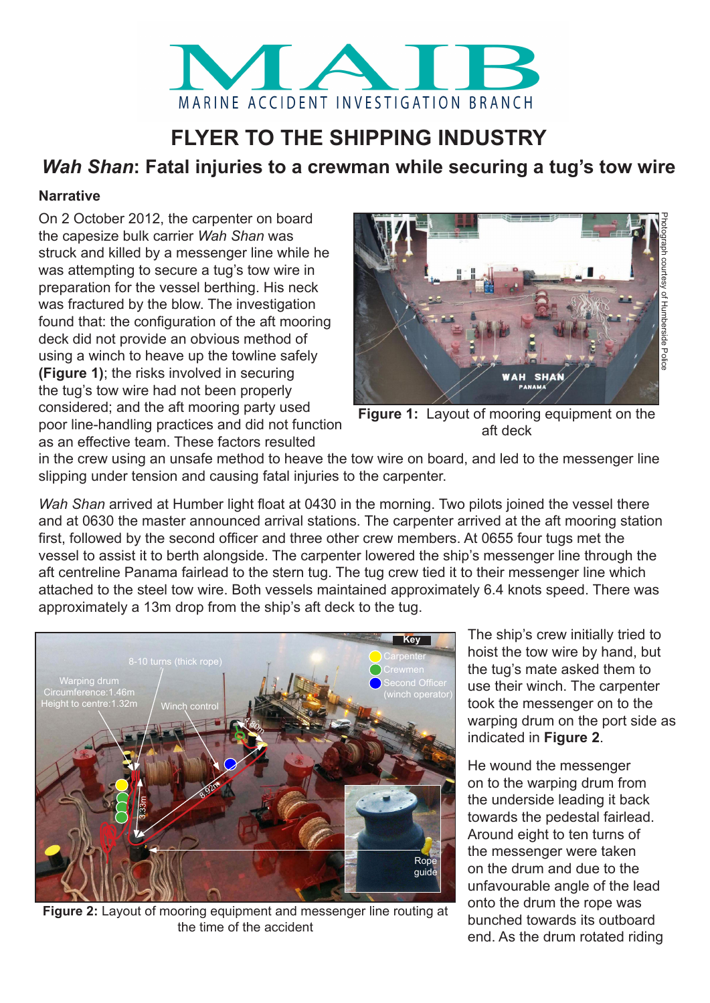

# **FLYER TO THE SHIPPING INDUSTRY**

# *Wah Shan***: Fatal injuries to a crewman while securing a tug's tow wire**

# **Narrative**

On 2 October 2012, the carpenter on board the capesize bulk carrier *Wah Shan* was struck and killed by a messenger line while he was attempting to secure a tug's tow wire in preparation for the vessel berthing. His neck was fractured by the blow. The investigation found that: the configuration of the aft mooring deck did not provide an obvious method of using a winch to heave up the towline safely **(Figure 1)**; the risks involved in securing the tug's tow wire had not been properly considered; and the aft mooring party used poor line-handling practices and did not function as an effective team. These factors resulted



**Figure 1:** Layout of mooring equipment on the aft deck

in the crew using an unsafe method to heave the tow wire on board, and led to the messenger line slipping under tension and causing fatal injuries to the carpenter.

*Wah Shan* arrived at Humber light float at 0430 in the morning. Two pilots joined the vessel there and at 0630 the master announced arrival stations. The carpenter arrived at the aft mooring station first, followed by the second officer and three other crew members. At 0655 four tugs met the vessel to assist it to berth alongside. The carpenter lowered the ship's messenger line through the aft centreline Panama fairlead to the stern tug. The tug crew tied it to their messenger line which attached to the steel tow wire. Both vessels maintained approximately 6.4 knots speed. There was approximately a 13m drop from the ship's aft deck to the tug.



**Figure 2:** Layout of mooring equipment and messenger line routing at the time of the accident

The ship's crew initially tried to hoist the tow wire by hand, but the tug's mate asked them to use their winch. The carpenter took the messenger on to the warping drum on the port side as indicated in **Figure 2**.

He wound the messenger on to the warping drum from the underside leading it back towards the pedestal fairlead. Around eight to ten turns of the messenger were taken on the drum and due to the unfavourable angle of the lead onto the drum the rope was bunched towards its outboard end. As the drum rotated riding